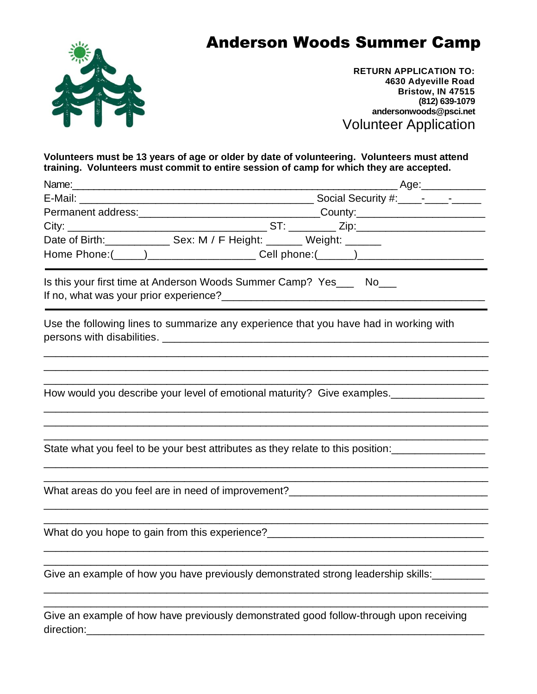



**RETURN APPLICATION TO: 4630 Adyeville Road Bristow, IN 47515 (812) 639-1079 andersonwoods@psci.net** Volunteer Application

**Volunteers must be 13 years of age or older by date of volunteering. Volunteers must attend training. Volunteers must commit to entire session of camp for which they are accepted.**

| _______________Age:_______________                                                     |
|----------------------------------------------------------------------------------------|
|                                                                                        |
|                                                                                        |
|                                                                                        |
| Date of Birth: Sex: M / F Height: Weight: Weight:                                      |
| Home Phone:(_____)_______________________Cell phone:(______)____________________       |
| Is this your first time at Anderson Woods Summer Camp? Yes____ No___                   |
| Use the following lines to summarize any experience that you have had in working with  |
| How would you describe your level of emotional maturity? Give examples.                |
| State what you feel to be your best attributes as they relate to this position:        |
| What areas do you feel are in need of improvement?_______________________________      |
|                                                                                        |
| Give an example of how you have previously demonstrated strong leadership skills:      |
| Give an example of how have previously demonstrated good follow-through upon receiving |

direction: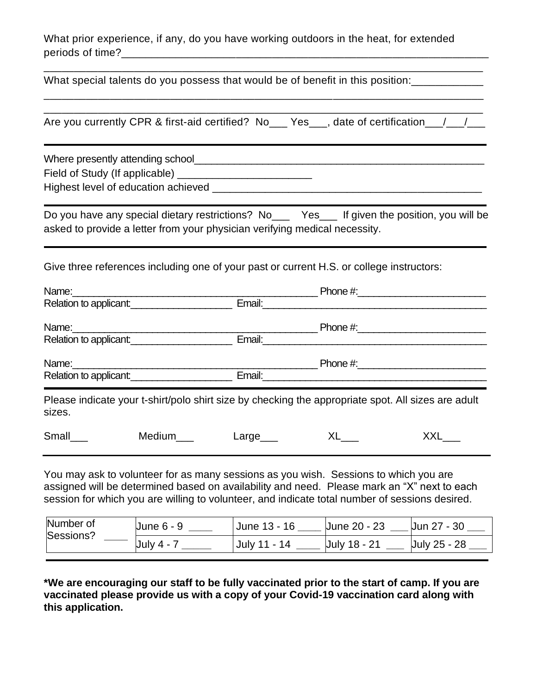What prior experience, if any, do you have working outdoors in the heat, for extended periods of time?\_\_\_\_\_\_\_\_\_\_\_\_\_\_\_\_\_\_\_\_\_\_\_\_\_\_\_\_\_\_\_\_\_\_\_\_\_\_\_\_\_\_\_\_\_\_\_\_\_\_\_\_\_\_\_\_\_\_\_\_\_

What special talents do you possess that would be of benefit in this position:

\_\_\_\_\_\_\_\_\_\_\_\_\_\_\_\_\_\_\_\_\_\_\_\_\_\_\_\_\_\_\_\_\_\_\_\_\_\_\_\_\_\_\_\_\_\_\_\_\_\_\_\_\_\_\_\_\_\_\_\_\_\_\_\_\_\_\_\_\_\_\_\_\_ Are you currently CPR & first-aid certified? No\_\_\_ Yes\_\_\_, date of certification\_\_/\_\_/\_\_

\_\_\_\_\_\_\_\_\_\_\_\_\_\_\_\_\_\_\_\_\_\_\_\_\_\_\_\_\_\_\_\_\_\_\_\_\_\_\_\_\_\_\_\_\_\_\_\_\_\_\_\_\_\_\_\_\_\_\_\_\_\_\_\_\_\_\_\_\_\_\_\_\_

\_\_\_\_\_\_\_\_\_\_\_\_\_\_\_\_\_\_\_\_\_\_\_\_\_\_\_\_\_\_\_\_\_\_\_\_\_\_\_\_\_\_\_\_\_\_\_\_\_\_\_\_\_\_\_\_\_\_\_\_\_\_\_\_\_\_\_\_\_\_\_\_\_

Where presently attending school\_\_\_\_\_\_\_\_\_\_\_\_\_\_\_\_\_\_\_\_\_\_\_\_\_\_\_\_\_\_\_\_\_\_\_\_\_\_\_\_\_\_\_\_\_\_\_\_\_\_\_

Field of Study (If applicable) \_\_\_\_\_\_\_\_\_\_\_\_\_\_\_\_\_\_\_\_\_\_\_

Highest level of education achieved \_\_\_\_\_\_\_\_\_\_\_\_\_\_\_\_\_\_\_\_\_\_\_\_\_\_\_\_\_\_\_\_\_\_\_\_\_\_\_\_\_\_\_\_\_\_

Do you have any special dietary restrictions? No\_\_\_ Yes\_\_\_ If given the position, you will be asked to provide a letter from your physician verifying medical necessity.

and the control of the control of the control of the control of the control of the control of the control of the

Give three references including one of your past or current H.S. or college instructors:

|          | Relation to applicant:                                                                                                                                                                                                                 | Email:                     |    |                                                                                                                 |
|----------|----------------------------------------------------------------------------------------------------------------------------------------------------------------------------------------------------------------------------------------|----------------------------|----|-----------------------------------------------------------------------------------------------------------------|
|          |                                                                                                                                                                                                                                        |                            |    |                                                                                                                 |
|          | Relation to applicant:<br><u>Letter and the set of the set of the set of the set of the set of the set of the set of the set of the set of the set of the set of the set of the set of the set of the set of the set of the set of</u> |                            |    |                                                                                                                 |
|          | Name:                                                                                                                                                                                                                                  |                            |    |                                                                                                                 |
|          | Relation to applicant:<br><u>Example 20</u>                                                                                                                                                                                            |                            |    | Email: 2008. 2008. 2010. 2010. 2010. 2010. 2010. 2010. 2010. 2010. 2010. 2010. 2010. 2010. 2010. 2010. 2010. 20 |
| sizes.   |                                                                                                                                                                                                                                        |                            |    | Please indicate your t-shirt/polo shirt size by checking the appropriate spot. All sizes are adult              |
| Small___ | Medium___                                                                                                                                                                                                                              | Large $\rule{1em}{0.15mm}$ | XL | XXL                                                                                                             |

You may ask to volunteer for as many sessions as you wish. Sessions to which you are assigned will be determined based on availability and need. Please mark an "X" next to each session for which you are willing to volunteer, and indicate total number of sessions desired.

| Number of<br>Sessions? | <b>June 6 - 9</b> | June 13 - 16 | Uune 20 - 23 | Jun 27 - 30  |
|------------------------|-------------------|--------------|--------------|--------------|
|                        | July 4 -          | July 11 - 14 | Uuly 18 - 21 | July 25 - 28 |
|                        |                   |              |              |              |

**\*We are encouraging our staff to be fully vaccinated prior to the start of camp. If you are vaccinated please provide us with a copy of your Covid-19 vaccination card along with this application.**